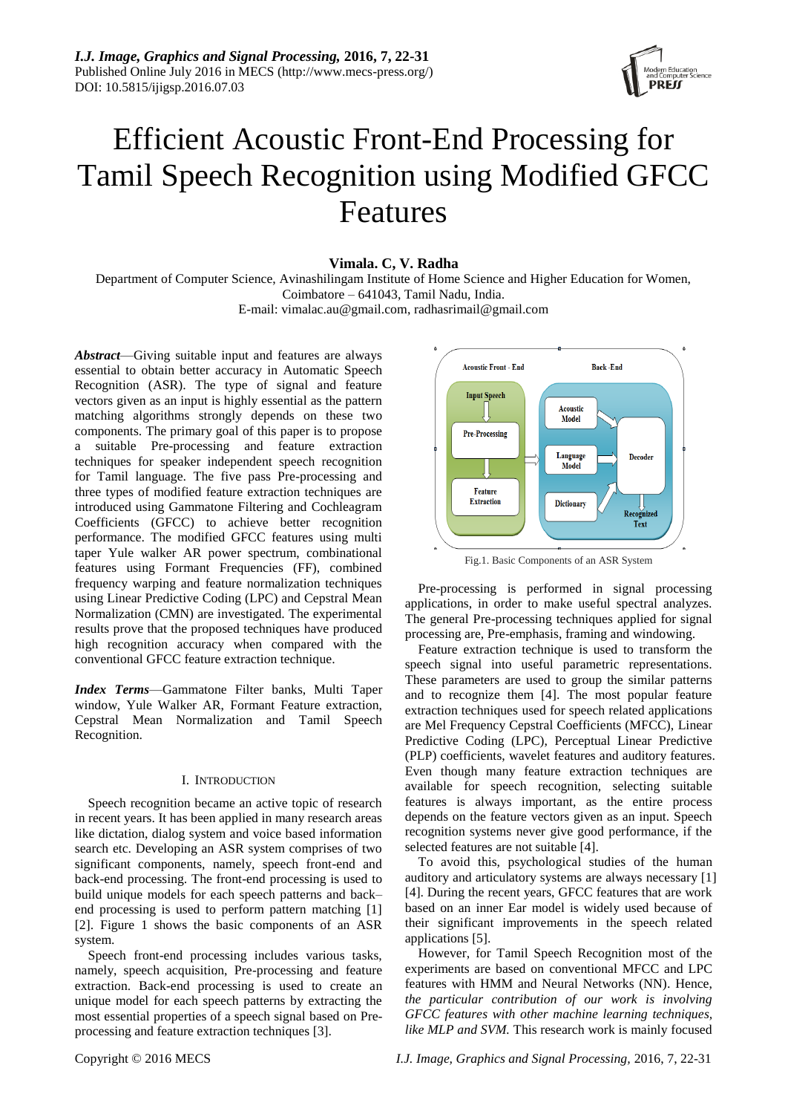

# Efficient Acoustic Front-End Processing for Tamil Speech Recognition using Modified GFCC Features

**Vimala. C, V. Radha**

Department of Computer Science, Avinashilingam Institute of Home Science and Higher Education for Women, Coimbatore – 641043, Tamil Nadu, India.

E-mail: [vimalac.au@gmail.com,](mailto:vimalac.au@gmail.com) [radhasrimail@gmail.com](mailto:radhasrimail@gmail.com)

*Abstract*—Giving suitable input and features are always essential to obtain better accuracy in Automatic Speech Recognition (ASR). The type of signal and feature vectors given as an input is highly essential as the pattern matching algorithms strongly depends on these two components. The primary goal of this paper is to propose a suitable Pre-processing and feature extraction techniques for speaker independent speech recognition for Tamil language. The five pass Pre-processing and three types of modified feature extraction techniques are introduced using Gammatone Filtering and Cochleagram Coefficients (GFCC) to achieve better recognition performance. The modified GFCC features using multi taper Yule walker AR power spectrum, combinational features using Formant Frequencies (FF), combined frequency warping and feature normalization techniques using Linear Predictive Coding (LPC) and Cepstral Mean Normalization (CMN) are investigated. The experimental results prove that the proposed techniques have produced high recognition accuracy when compared with the conventional GFCC feature extraction technique.

*Index Terms*—Gammatone Filter banks, Multi Taper window, Yule Walker AR, Formant Feature extraction, Cepstral Mean Normalization and Tamil Speech Recognition.

## I. INTRODUCTION

Speech recognition became an active topic of research in recent years. It has been applied in many research areas like dictation, dialog system and voice based information search etc. Developing an ASR system comprises of two significant components, namely, speech front-end and back-end processing. The front-end processing is used to build unique models for each speech patterns and back– end processing is used to perform pattern matching [1] [2]. Figure 1 shows the basic components of an ASR system.

Speech front-end processing includes various tasks, namely, speech acquisition, Pre-processing and feature extraction. Back-end processing is used to create an unique model for each speech patterns by extracting the most essential properties of a speech signal based on Preprocessing and feature extraction techniques [3].



Fig.1. Basic Components of an ASR System

Pre-processing is performed in signal processing applications, in order to make useful spectral analyzes. The general Pre-processing techniques applied for signal processing are, Pre-emphasis, framing and windowing.

Feature extraction technique is used to transform the speech signal into useful parametric representations. These parameters are used to group the similar patterns and to recognize them [4]. The most popular feature extraction techniques used for speech related applications are Mel Frequency Cepstral Coefficients (MFCC), Linear Predictive Coding (LPC), Perceptual Linear Predictive (PLP) coefficients, wavelet features and auditory features. Even though many feature extraction techniques are available for speech recognition, selecting suitable features is always important, as the entire process depends on the feature vectors given as an input. Speech recognition systems never give good performance, if the selected features are not suitable [4].

To avoid this, psychological studies of the human auditory and articulatory systems are always necessary [1] [4]. During the recent years, GFCC features that are work based on an inner Ear model is widely used because of their significant improvements in the speech related applications [5].

However, for Tamil Speech Recognition most of the experiments are based on conventional MFCC and LPC features with HMM and Neural Networks (NN). Hence, *the particular contribution of our work is involving GFCC features with other machine learning techniques, like MLP and SVM.* This research work is mainly focused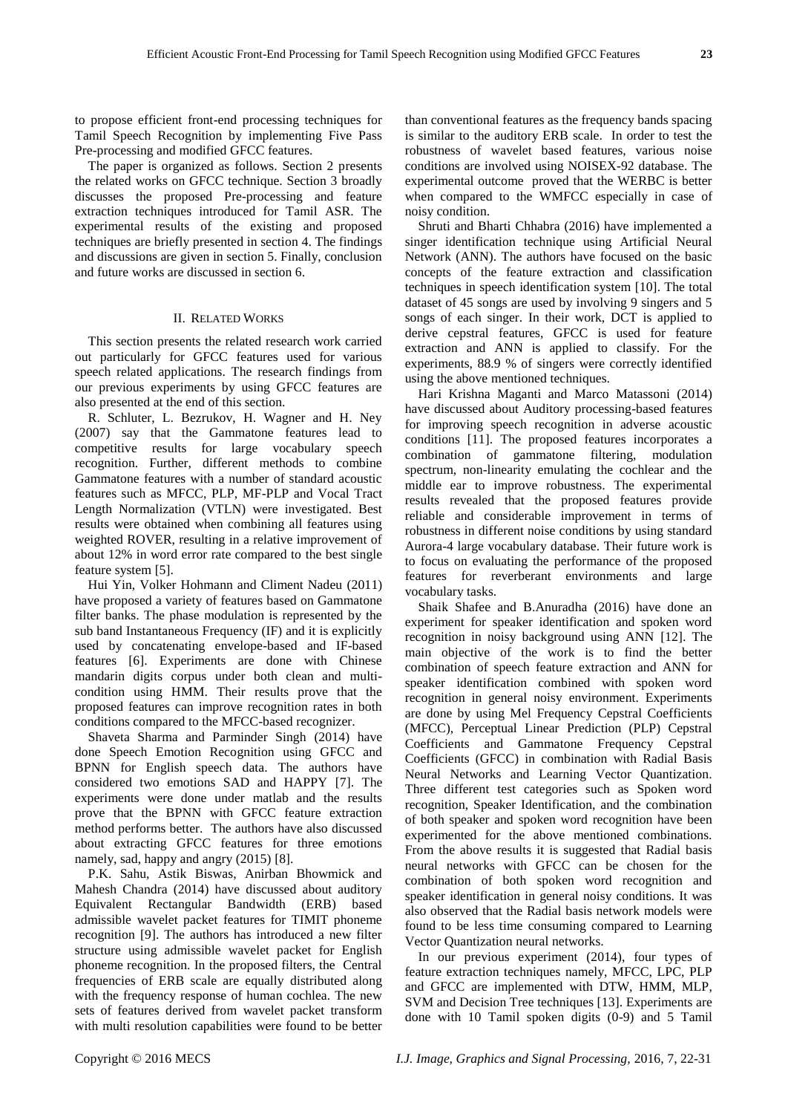to propose efficient front-end processing techniques for Tamil Speech Recognition by implementing Five Pass Pre-processing and modified GFCC features.

The paper is organized as follows. Section 2 presents the related works on GFCC technique. Section 3 broadly discusses the proposed Pre-processing and feature extraction techniques introduced for Tamil ASR. The experimental results of the existing and proposed techniques are briefly presented in section 4. The findings and discussions are given in section 5. Finally, conclusion and future works are discussed in section 6.

## II. RELATED WORKS

This section presents the related research work carried out particularly for GFCC features used for various speech related applications. The research findings from our previous experiments by using GFCC features are also presented at the end of this section.

R. Schluter, L. Bezrukov, H. Wagner and H. Ney (2007) say that the Gammatone features lead to competitive results for large vocabulary speech recognition. Further, different methods to combine Gammatone features with a number of standard acoustic features such as MFCC, PLP, MF-PLP and Vocal Tract Length Normalization (VTLN) were investigated. Best results were obtained when combining all features using weighted ROVER, resulting in a relative improvement of about 12% in word error rate compared to the best single feature system [5].

Hui Yin, Volker Hohmann and Climent Nadeu (2011) have proposed a variety of features based on Gammatone filter banks. The phase modulation is represented by the sub band Instantaneous Frequency (IF) and it is explicitly used by concatenating envelope-based and IF-based features [6]. Experiments are done with Chinese mandarin digits corpus under both clean and multicondition using HMM. Their results prove that the proposed features can improve recognition rates in both conditions compared to the MFCC-based recognizer.

Shaveta Sharma and Parminder Singh (2014) have done Speech Emotion Recognition using GFCC and BPNN for English speech data. The authors have considered two emotions SAD and HAPPY [7]. The experiments were done under matlab and the results prove that the BPNN with GFCC feature extraction method performs better. The authors have also discussed about extracting GFCC features for three emotions namely, sad, happy and angry (2015) [8].

P.K. Sahu, Astik Biswas, Anirban Bhowmick and Mahesh Chandra (2014) have discussed about auditory Equivalent Rectangular Bandwidth (ERB) based admissible wavelet packet features for TIMIT phoneme recognition [9]. The authors has introduced a new filter structure using admissible wavelet packet for English phoneme recognition. In the proposed filters, the Central frequencies of ERB scale are equally distributed along with the frequency response of human cochlea. The new sets of features derived from wavelet packet transform with multi resolution capabilities were found to be better

than conventional features as the frequency bands spacing is similar to the auditory ERB scale. In order to test the robustness of wavelet based features, various noise conditions are involved using NOISEX-92 database. The experimental outcome proved that the WERBC is better when compared to the WMFCC especially in case of noisy condition.

Shruti and Bharti Chhabra (2016) have implemented a singer identification technique using Artificial Neural Network (ANN). The authors have focused on the basic concepts of the feature extraction and classification techniques in speech identification system [10]. The total dataset of 45 songs are used by involving 9 singers and 5 songs of each singer. In their work, DCT is applied to derive cepstral features, GFCC is used for feature extraction and ANN is applied to classify. For the experiments, 88.9 % of singers were correctly identified using the above mentioned techniques.

Hari Krishna Maganti and Marco Matassoni (2014) have discussed about Auditory processing-based features for improving speech recognition in adverse acoustic conditions [11]. The proposed features incorporates a combination of gammatone filtering, modulation spectrum, non-linearity emulating the cochlear and the middle ear to improve robustness. The experimental results revealed that the proposed features provide reliable and considerable improvement in terms of robustness in different noise conditions by using standard Aurora-4 large vocabulary database. Their future work is to focus on evaluating the performance of the proposed features for reverberant environments and large vocabulary tasks.

Shaik Shafee and B.Anuradha (2016) have done an experiment for speaker identification and spoken word recognition in noisy background using ANN [12]. The main objective of the work is to find the better combination of speech feature extraction and ANN for speaker identification combined with spoken word recognition in general noisy environment. Experiments are done by using Mel Frequency Cepstral Coefficients (MFCC), Perceptual Linear Prediction (PLP) Cepstral Coefficients and Gammatone Frequency Cepstral Coefficients (GFCC) in combination with Radial Basis Neural Networks and Learning Vector Quantization. Three different test categories such as Spoken word recognition, Speaker Identification, and the combination of both speaker and spoken word recognition have been experimented for the above mentioned combinations. From the above results it is suggested that Radial basis neural networks with GFCC can be chosen for the combination of both spoken word recognition and speaker identification in general noisy conditions. It was also observed that the Radial basis network models were found to be less time consuming compared to Learning Vector Quantization neural networks.

In our previous experiment (2014), four types of feature extraction techniques namely, MFCC, LPC, PLP and GFCC are implemented with DTW, HMM, MLP, SVM and Decision Tree techniques [13]. Experiments are done with 10 Tamil spoken digits (0-9) and 5 Tamil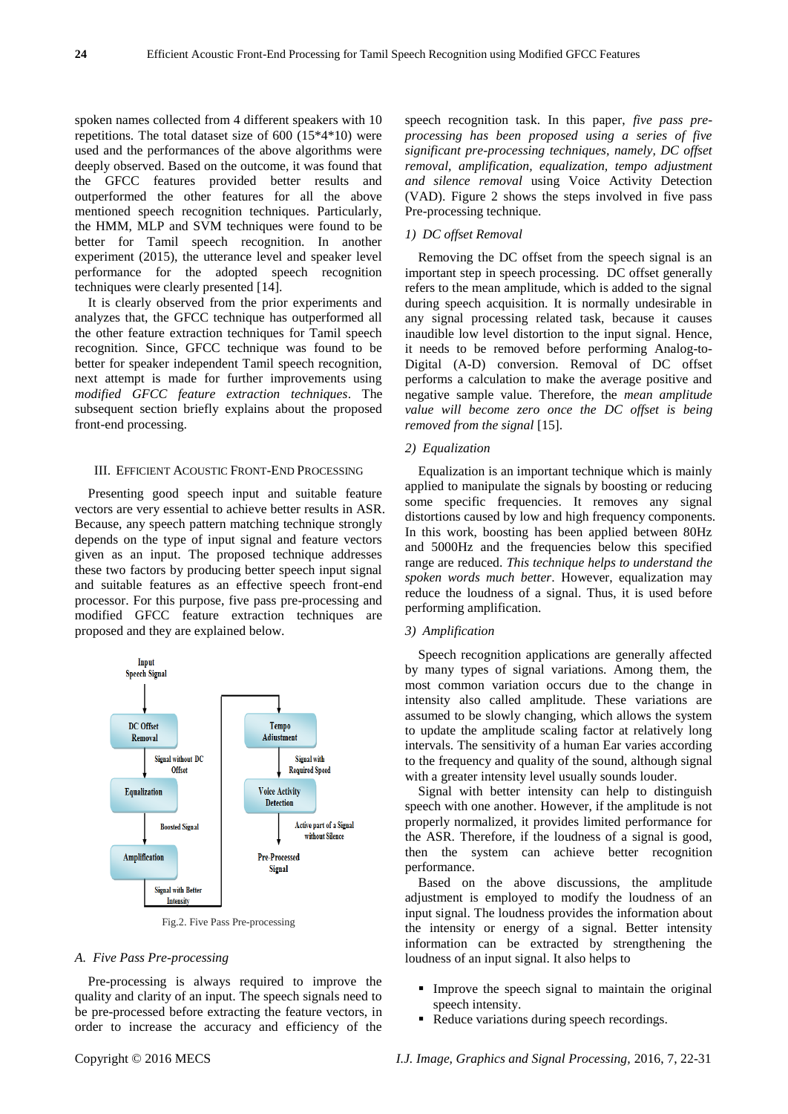spoken names collected from 4 different speakers with 10 repetitions. The total dataset size of 600 (15\*4\*10) were used and the performances of the above algorithms were deeply observed. Based on the outcome, it was found that the GFCC features provided better results and outperformed the other features for all the above mentioned speech recognition techniques. Particularly, the HMM, MLP and SVM techniques were found to be better for Tamil speech recognition. In another experiment (2015), the utterance level and speaker level performance for the adopted speech recognition techniques were clearly presented [14].

It is clearly observed from the prior experiments and analyzes that, the GFCC technique has outperformed all the other feature extraction techniques for Tamil speech recognition*.* Since, GFCC technique was found to be better for speaker independent Tamil speech recognition, next attempt is made for further improvements using *modified GFCC feature extraction techniques*. The subsequent section briefly explains about the proposed front-end processing.

#### III. EFFICIENT ACOUSTIC FRONT-END PROCESSING

Presenting good speech input and suitable feature vectors are very essential to achieve better results in ASR. Because, any speech pattern matching technique strongly depends on the type of input signal and feature vectors given as an input. The proposed technique addresses these two factors by producing better speech input signal and suitable features as an effective speech front-end processor. For this purpose, five pass pre-processing and modified GFCC feature extraction techniques are proposed and they are explained below.



Fig.2. Five Pass Pre-processing

#### *A. Five Pass Pre-processing*

Pre-processing is always required to improve the quality and clarity of an input. The speech signals need to be pre-processed before extracting the feature vectors, in order to increase the accuracy and efficiency of the speech recognition task. In this paper, *five pass preprocessing has been proposed using a series of five significant pre-processing techniques, namely, DC offset removal, amplification, equalization, tempo adjustment and silence removal* using Voice Activity Detection (VAD). Figure 2 shows the steps involved in five pass Pre-processing technique.

## *1) DC offset Removal*

Removing the DC offset from the speech signal is an important step in speech processing. DC offset generally refers to the mean amplitude, which is added to the signal during speech acquisition. It is normally undesirable in any signal processing related task, because it causes inaudible low level distortion to the input signal. Hence, it needs to be removed before performing Analog-to-Digital (A-D) conversion. Removal of DC offset performs a calculation to make the average positive and negative sample value. Therefore, the *mean amplitude value will become zero once the DC offset is being removed from the signal* [15].

#### *2) Equalization*

Equalization is an important technique which is mainly applied to manipulate the signals by boosting or reducing some specific frequencies. It removes any signal distortions caused by low and high frequency components. In this work, boosting has been applied between 80Hz and 5000Hz and the frequencies below this specified range are reduced. *This technique helps to understand the spoken words much better*. However, equalization may reduce the loudness of a signal. Thus, it is used before performing amplification.

## *3) Amplification*

Speech recognition applications are generally affected by many types of signal variations. Among them, the most common variation occurs due to the change in intensity also called amplitude. These variations are assumed to be slowly changing, which allows the system to update the amplitude scaling factor at relatively long intervals. The sensitivity of a human Ear varies according to the frequency and quality of the sound, although signal with a greater intensity level usually sounds louder.

Signal with better intensity can help to distinguish speech with one another. However, if the amplitude is not properly normalized, it provides limited performance for the ASR. Therefore, if the loudness of a signal is good, then the system can achieve better recognition performance.

Based on the above discussions, the amplitude adjustment is employed to modify the loudness of an input signal. The loudness provides the information about the intensity or energy of a signal. Better intensity information can be extracted by strengthening the loudness of an input signal. It also helps to

- **Improve the speech signal to maintain the original** speech intensity.
- Reduce variations during speech recordings.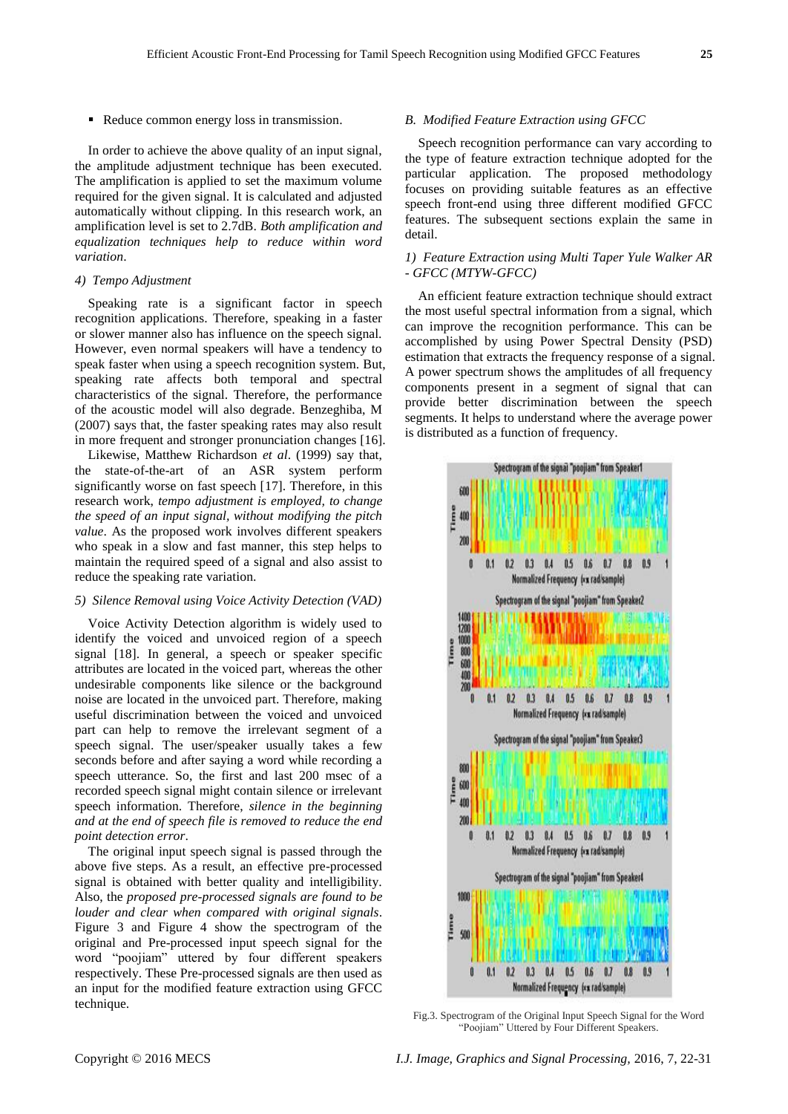Reduce common energy loss in transmission.

In order to achieve the above quality of an input signal, the amplitude adjustment technique has been executed. The amplification is applied to set the maximum volume required for the given signal. It is calculated and adjusted automatically without clipping. In this research work, an amplification level is set to 2.7dB. *Both amplification and equalization techniques help to reduce within word variation*.

## *4) Tempo Adjustment*

Speaking rate is a significant factor in speech recognition applications. Therefore, speaking in a faster or slower manner also has influence on the speech signal. However, even normal speakers will have a tendency to speak faster when using a speech recognition system. But, speaking rate affects both temporal and spectral characteristics of the signal. Therefore, the performance of the acoustic model will also degrade. Benzeghiba, M (2007) says that, the faster speaking rates may also result in more frequent and stronger pronunciation changes [16].

Likewise, Matthew Richardson *et al*. (1999) say that, the state-of-the-art of an ASR system perform significantly worse on fast speech [17]. Therefore, in this research work, *tempo adjustment is employed, to change the speed of an input signal, without modifying the pitch value*. As the proposed work involves different speakers who speak in a slow and fast manner, this step helps to maintain the required speed of a signal and also assist to reduce the speaking rate variation.

## *5) Silence Removal using Voice Activity Detection (VAD)*

Voice Activity Detection algorithm is widely used to identify the voiced and unvoiced region of a speech signal [18]. In general, a speech or speaker specific attributes are located in the voiced part, whereas the other undesirable components like silence or the background noise are located in the unvoiced part. Therefore, making useful discrimination between the voiced and unvoiced part can help to remove the irrelevant segment of a speech signal. The user/speaker usually takes a few seconds before and after saying a word while recording a speech utterance. So, the first and last 200 msec of a recorded speech signal might contain silence or irrelevant speech information. Therefore, *silence in the beginning and at the end of speech file is removed to reduce the end point detection error*.

The original input speech signal is passed through the above five steps. As a result, an effective pre-processed signal is obtained with better quality and intelligibility. Also, the *proposed pre-processed signals are found to be louder and clear when compared with original signals*. Figure 3 and Figure 4 show the spectrogram of the original and Pre-processed input speech signal for the word "poojiam" uttered by four different speakers respectively. These Pre-processed signals are then used as an input for the modified feature extraction using GFCC technique.

## *B. Modified Feature Extraction using GFCC*

Speech recognition performance can vary according to the type of feature extraction technique adopted for the particular application. The proposed methodology focuses on providing suitable features as an effective speech front-end using three different modified GFCC features. The subsequent sections explain the same in detail.

## *1) Feature Extraction using Multi Taper Yule Walker AR - GFCC (MTYW-GFCC)*

An efficient feature extraction technique should extract the most useful spectral information from a signal, which can improve the recognition performance. This can be accomplished by using Power Spectral Density (PSD) estimation that extracts the frequency response of a signal. A power spectrum shows the amplitudes of all frequency components present in a segment of signal that can provide better discrimination between the speech segments. It helps to understand where the average power is distributed as a function of frequency.



Fig.3. Spectrogram of the Original Input Speech Signal for the Word "Poojiam" Uttered by Four Different Speakers.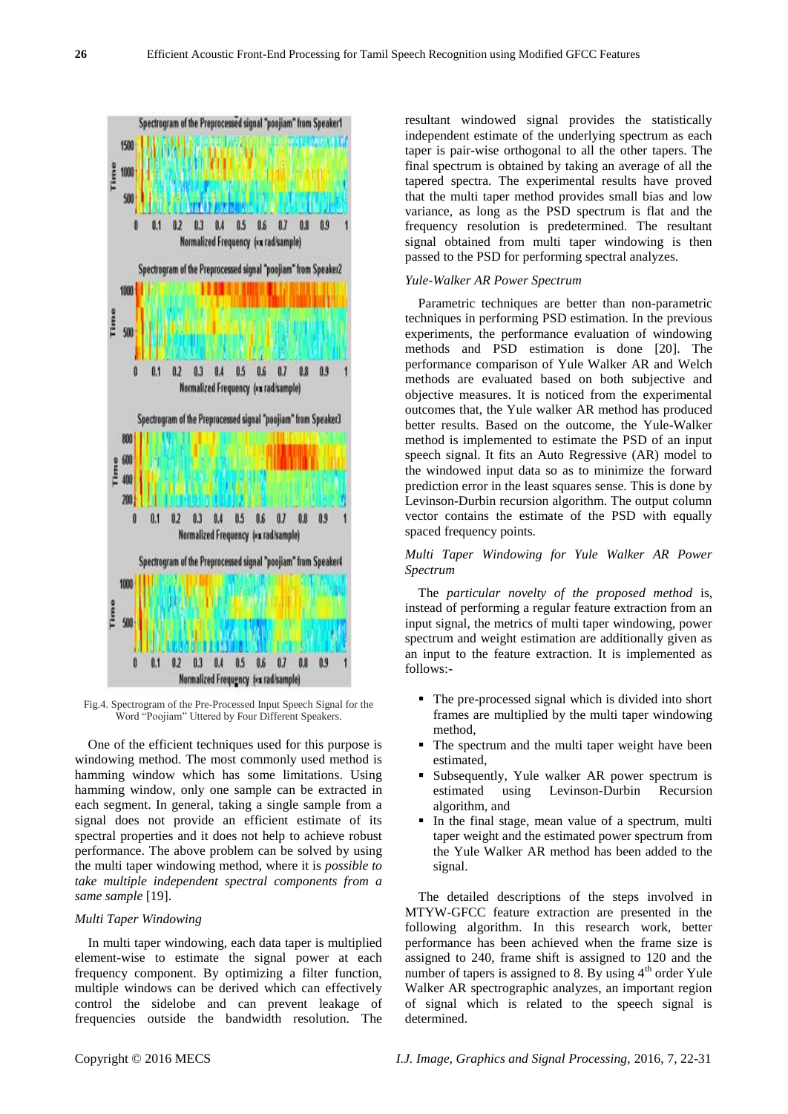

Fig.4. Spectrogram of the Pre-Processed Input Speech Signal for the Word "Poojiam" Uttered by Four Different Speakers.

One of the efficient techniques used for this purpose is windowing method. The most commonly used method is hamming window which has some limitations. Using hamming window, only one sample can be extracted in each segment. In general, taking a single sample from a signal does not provide an efficient estimate of its spectral properties and it does not help to achieve robust performance. The above problem can be solved by using the multi taper windowing method, where it is *possible to take multiple independent spectral components from a same sample* [19].

# *Multi Taper Windowing*

In multi taper windowing, each data taper is multiplied element-wise to estimate the signal power at each frequency component. By optimizing a filter function, multiple windows can be derived which can effectively control the sidelobe and can prevent leakage of frequencies outside the bandwidth resolution. The resultant windowed signal provides the statistically independent estimate of the underlying spectrum as each taper is pair-wise orthogonal to all the other tapers. The final spectrum is obtained by taking an average of all the tapered spectra. The experimental results have proved that the multi taper method provides small bias and low variance, as long as the PSD spectrum is flat and the frequency resolution is predetermined. The resultant signal obtained from multi taper windowing is then passed to the PSD for performing spectral analyzes.

## *Yule-Walker AR Power Spectrum*

Parametric techniques are better than non-parametric techniques in performing PSD estimation. In the previous experiments, the performance evaluation of windowing methods and PSD estimation is done [20]. The performance comparison of Yule Walker AR and Welch methods are evaluated based on both subjective and objective measures. It is noticed from the experimental outcomes that, the Yule walker AR method has produced better results. Based on the outcome, the Yule-Walker method is implemented to estimate the PSD of an input speech signal. It fits an Auto Regressive (AR) model to the windowed input data so as to minimize the forward prediction error in the least squares sense. This is done by Levinson-Durbin recursion algorithm. The output column vector contains the estimate of the PSD with equally spaced frequency points.

# *Multi Taper Windowing for Yule Walker AR Power Spectrum*

The *particular novelty of the proposed method* is, instead of performing a regular feature extraction from an input signal, the metrics of multi taper windowing, power spectrum and weight estimation are additionally given as an input to the feature extraction. It is implemented as follows:-

- The pre-processed signal which is divided into short frames are multiplied by the multi taper windowing method,
- The spectrum and the multi taper weight have been estimated,
- Subsequently, Yule walker AR power spectrum is estimated using Levinson-Durbin Recursion algorithm, and
- In the final stage, mean value of a spectrum, multi taper weight and the estimated power spectrum from the Yule Walker AR method has been added to the signal.

The detailed descriptions of the steps involved in MTYW-GFCC feature extraction are presented in the following algorithm. In this research work, better performance has been achieved when the frame size is assigned to 240, frame shift is assigned to 120 and the number of tapers is assigned to 8. By using  $4<sup>th</sup>$  order Yule Walker AR spectrographic analyzes, an important region of signal which is related to the speech signal is determined.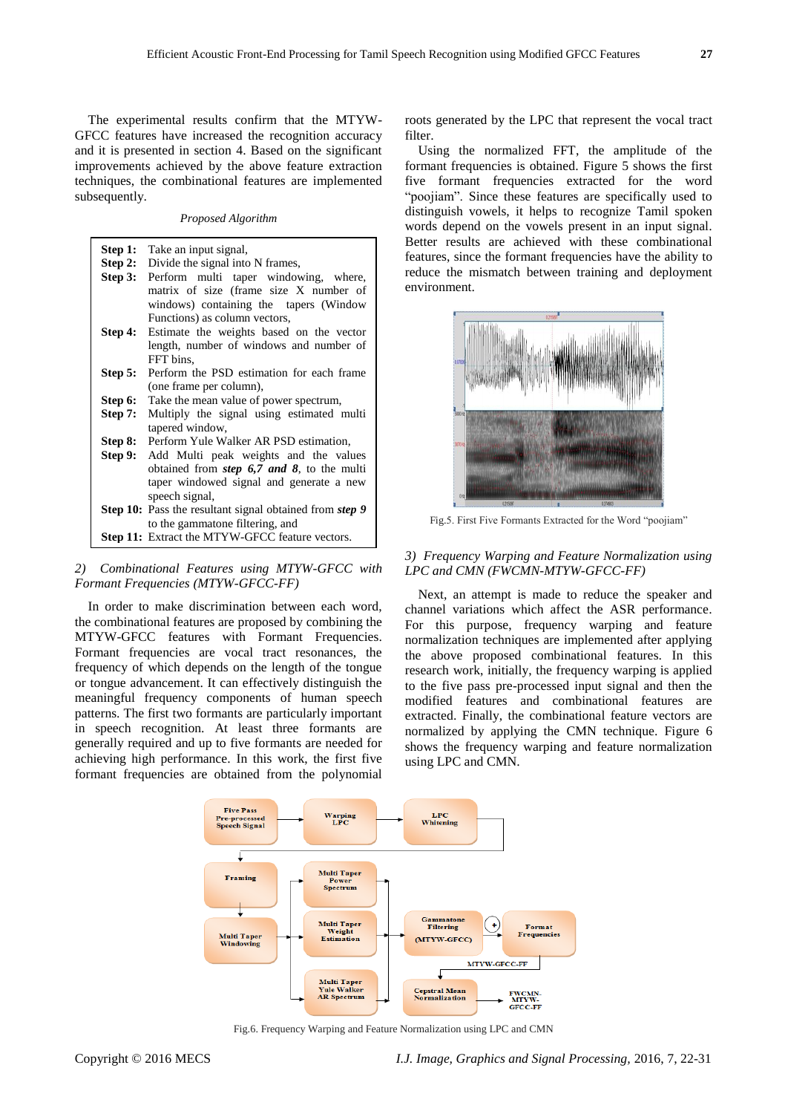The experimental results confirm that the MTYW-GFCC features have increased the recognition accuracy and it is presented in section 4. Based on the significant improvements achieved by the above feature extraction techniques, the combinational features are implemented subsequently.

*Proposed Algorithm*

| Step 1: | Take an input signal,                                                                                                                                    |  |  |  |  |  |
|---------|----------------------------------------------------------------------------------------------------------------------------------------------------------|--|--|--|--|--|
| Step 2: | Divide the signal into N frames,                                                                                                                         |  |  |  |  |  |
| Step 3: | Perform multi taper windowing, where,                                                                                                                    |  |  |  |  |  |
|         | matrix of size (frame size X number of                                                                                                                   |  |  |  |  |  |
|         | windows) containing the tapers (Window                                                                                                                   |  |  |  |  |  |
|         | Functions) as column vectors,                                                                                                                            |  |  |  |  |  |
| Step 4: | Estimate the weights based on the vector                                                                                                                 |  |  |  |  |  |
|         | length, number of windows and number of                                                                                                                  |  |  |  |  |  |
|         |                                                                                                                                                          |  |  |  |  |  |
|         | FFT bins.                                                                                                                                                |  |  |  |  |  |
| Step 5: | Perform the PSD estimation for each frame                                                                                                                |  |  |  |  |  |
|         | (one frame per column),                                                                                                                                  |  |  |  |  |  |
| Step 6: | Take the mean value of power spectrum,                                                                                                                   |  |  |  |  |  |
| Step 7: | Multiply the signal using estimated multi                                                                                                                |  |  |  |  |  |
|         | tapered window,                                                                                                                                          |  |  |  |  |  |
| Step 8: | Perform Yule Walker AR PSD estimation,                                                                                                                   |  |  |  |  |  |
| Step 9: | Add Multi peak weights and the values<br>obtained from <i>step</i> 6,7 and 8, to the multi<br>taper windowed signal and generate a new<br>speech signal, |  |  |  |  |  |
|         |                                                                                                                                                          |  |  |  |  |  |
|         |                                                                                                                                                          |  |  |  |  |  |
|         |                                                                                                                                                          |  |  |  |  |  |
|         | <b>Step 10:</b> Pass the resultant signal obtained from <i>step</i> 9                                                                                    |  |  |  |  |  |
|         |                                                                                                                                                          |  |  |  |  |  |
|         | to the gammatone filtering, and                                                                                                                          |  |  |  |  |  |
|         | <b>Step 11:</b> Extract the MTYW-GFCC feature vectors.                                                                                                   |  |  |  |  |  |

## *2) Combinational Features using MTYW-GFCC with Formant Frequencies (MTYW-GFCC-FF)*

In order to make discrimination between each word, the combinational features are proposed by combining the MTYW-GFCC features with Formant Frequencies. Formant frequencies are vocal tract resonances, the frequency of which depends on the length of the tongue or tongue advancement. It can effectively distinguish the meaningful frequency components of human speech patterns. The first two formants are particularly important in speech recognition. At least three formants are generally required and up to five formants are needed for achieving high performance. In this work, the first five formant frequencies are obtained from the polynomial

roots generated by the LPC that represent the vocal tract filter.

Using the normalized FFT, the amplitude of the formant frequencies is obtained. Figure 5 shows the first five formant frequencies extracted for the word "poojiam". Since these features are specifically used to distinguish vowels, it helps to recognize Tamil spoken words depend on the vowels present in an input signal. Better results are achieved with these combinational features, since the formant frequencies have the ability to reduce the mismatch between training and deployment environment.



Fig.5. First Five Formants Extracted for the Word "poojiam"

## *3) Frequency Warping and Feature Normalization using LPC and CMN (FWCMN-MTYW-GFCC-FF)*

Next, an attempt is made to reduce the speaker and channel variations which affect the ASR performance. For this purpose, frequency warping and feature normalization techniques are implemented after applying the above proposed combinational features. In this research work, initially, the frequency warping is applied to the five pass pre-processed input signal and then the modified features and combinational features are extracted. Finally, the combinational feature vectors are normalized by applying the CMN technique. Figure 6 shows the frequency warping and feature normalization using LPC and CMN.



Fig.6. Frequency Warping and Feature Normalization using LPC and CMN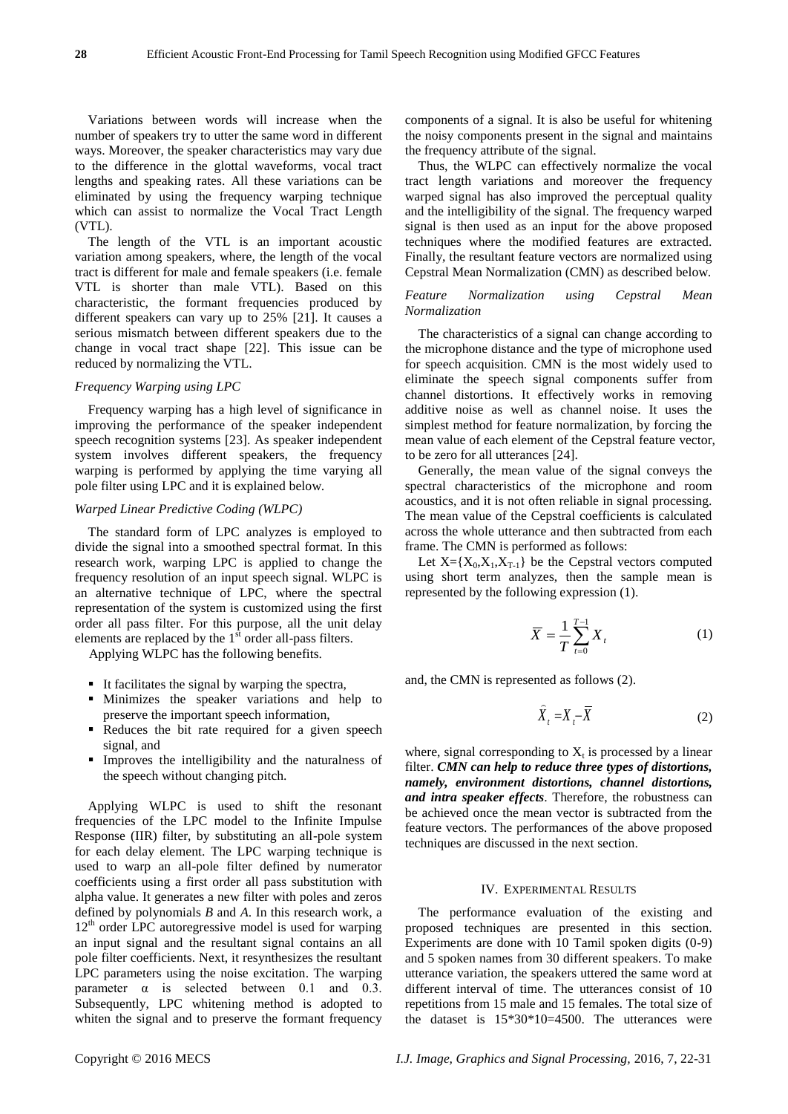Variations between words will increase when the number of speakers try to utter the same word in different ways. Moreover, the speaker characteristics may vary due to the difference in the glottal waveforms, vocal tract lengths and speaking rates. All these variations can be eliminated by using the frequency warping technique which can assist to normalize the Vocal Tract Length (VTL).

The length of the VTL is an important acoustic variation among speakers, where, the length of the vocal tract is different for male and female speakers (i.e. female VTL is shorter than male VTL). Based on this characteristic, the formant frequencies produced by different speakers can vary up to 25% [21]. It causes a serious mismatch between different speakers due to the change in vocal tract shape [22]. This issue can be reduced by normalizing the VTL.

## *Frequency Warping using LPC*

Frequency warping has a high level of significance in improving the performance of the speaker independent speech recognition systems [23]. As speaker independent system involves different speakers, the frequency warping is performed by applying the time varying all pole filter using LPC and it is explained below.

## *Warped Linear Predictive Coding (WLPC)*

The standard form of LPC analyzes is employed to divide the signal into a smoothed spectral format. In this research work, warping LPC is applied to change the frequency resolution of an input speech signal. WLPC is an alternative technique of LPC, where the spectral representation of the system is customized using the first order all pass filter. For this purpose, all the unit delay elements are replaced by the  $1<sup>st</sup>$  order all-pass filters.

Applying WLPC has the following benefits.

- It facilitates the signal by warping the spectra,
- Minimizes the speaker variations and help to preserve the important speech information,
- Reduces the bit rate required for a given speech signal, and
- Improves the intelligibility and the naturalness of the speech without changing pitch.

Applying WLPC is used to shift the resonant frequencies of the LPC model to the Infinite Impulse Response (IIR) filter, by substituting an all-pole system for each delay element. The LPC warping technique is used to warp an all-pole filter defined by numerator coefficients using a first order all pass substitution with alpha value. It generates a new filter with poles and zeros defined by polynomials *B* and *A*. In this research work, a  $12<sup>th</sup>$  order LPC autoregressive model is used for warping an input signal and the resultant signal contains an all pole filter coefficients. Next, it resynthesizes the resultant LPC parameters using the noise excitation. The warping parameter  $\alpha$  is selected between 0.1 and 0.3. Subsequently, LPC whitening method is adopted to whiten the signal and to preserve the formant frequency

components of a signal. It is also be useful for whitening the noisy components present in the signal and maintains the frequency attribute of the signal.

Thus, the WLPC can effectively normalize the vocal tract length variations and moreover the frequency warped signal has also improved the perceptual quality and the intelligibility of the signal. The frequency warped signal is then used as an input for the above proposed techniques where the modified features are extracted. Finally, the resultant feature vectors are normalized using Cepstral Mean Normalization (CMN) as described below.

*Feature Normalization using Cepstral Mean Normalization*

The characteristics of a signal can change according to the microphone distance and the type of microphone used for speech acquisition. CMN is the most widely used to eliminate the speech signal components suffer from channel distortions. It effectively works in removing additive noise as well as channel noise. It uses the simplest method for feature normalization, by forcing the mean value of each element of the Cepstral feature vector, to be zero for all utterances [24].

Generally, the mean value of the signal conveys the spectral characteristics of the microphone and room acoustics, and it is not often reliable in signal processing. The mean value of the Cepstral coefficients is calculated across the whole utterance and then subtracted from each frame. The CMN is performed as follows:

Let  $X = \{X_0, X_1, X_{T-1}\}\)$  be the Cepstral vectors computed using short term analyzes, then the sample mean is represented by the following expression (1).

$$
\overline{X} = \frac{1}{T} \sum_{t=0}^{T-1} X_t
$$
 (1)

and, the CMN is represented as follows (2).

$$
\widehat{X}_t = X_t - \overline{X}
$$
 (2)

where, signal corresponding to  $X_t$  is processed by a linear filter. *CMN can help to reduce three types of distortions, namely, environment distortions, channel distortions, and intra speaker effects*. Therefore, the robustness can be achieved once the mean vector is subtracted from the feature vectors. The performances of the above proposed techniques are discussed in the next section.

#### IV. EXPERIMENTAL RESULTS

The performance evaluation of the existing and proposed techniques are presented in this section. Experiments are done with 10 Tamil spoken digits (0-9) and 5 spoken names from 30 different speakers. To make utterance variation, the speakers uttered the same word at different interval of time. The utterances consist of 10 repetitions from 15 male and 15 females. The total size of the dataset is 15\*30\*10=4500. The utterances were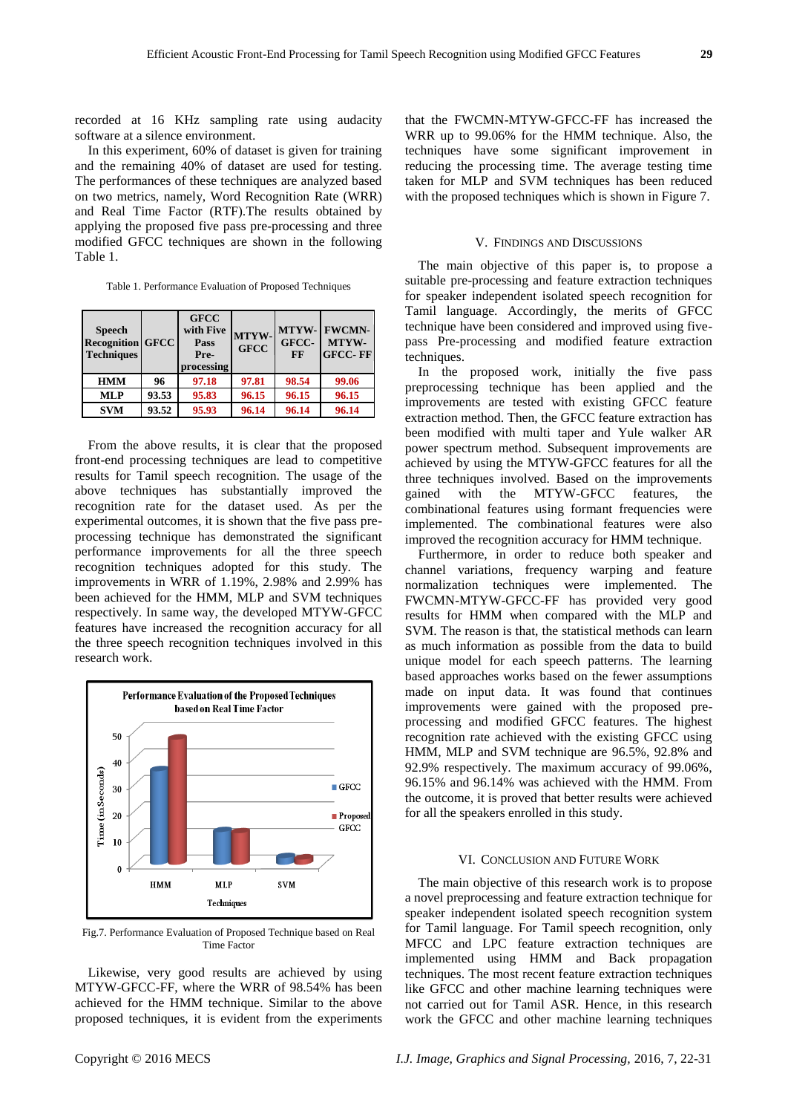recorded at 16 KHz sampling rate using audacity software at a silence environment.

In this experiment, 60% of dataset is given for training and the remaining 40% of dataset are used for testing. The performances of these techniques are analyzed based on two metrics, namely, Word Recognition Rate (WRR) and Real Time Factor (RTF).The results obtained by applying the proposed five pass pre-processing and three modified GFCC techniques are shown in the following Table 1.

Table 1. Performance Evaluation of Proposed Techniques

| <b>Speech</b><br><b>Recognition GFCC</b><br><b>Techniques</b> |       | <b>GFCC</b><br>with Five<br>Pass<br>Pre-<br>processing | MTYW-<br><b>GFCC</b> | MTYW-<br>GFCC-<br>FF | <b>FWCMN-</b><br>MTYW-<br><b>GFCC-FF</b> |
|---------------------------------------------------------------|-------|--------------------------------------------------------|----------------------|----------------------|------------------------------------------|
| <b>HMM</b>                                                    | 96    | 97.18                                                  | 97.81                | 98.54                | 99.06                                    |
| <b>MLP</b>                                                    | 93.53 | 95.83                                                  | 96.15                | 96.15                | 96.15                                    |
| <b>SVM</b>                                                    | 93.52 | 95.93                                                  | 96.14                | 96.14                | 96.14                                    |

From the above results, it is clear that the proposed front-end processing techniques are lead to competitive results for Tamil speech recognition. The usage of the above techniques has substantially improved the recognition rate for the dataset used. As per the experimental outcomes, it is shown that the five pass preprocessing technique has demonstrated the significant performance improvements for all the three speech recognition techniques adopted for this study. The improvements in WRR of 1.19%, 2.98% and 2.99% has been achieved for the HMM, MLP and SVM techniques respectively. In same way, the developed MTYW-GFCC features have increased the recognition accuracy for all the three speech recognition techniques involved in this research work.



Fig.7. Performance Evaluation of Proposed Technique based on Real Time Factor

Likewise, very good results are achieved by using MTYW-GFCC-FF, where the WRR of 98.54% has been achieved for the HMM technique. Similar to the above proposed techniques, it is evident from the experiments that the FWCMN-MTYW-GFCC-FF has increased the WRR up to 99.06% for the HMM technique. Also, the techniques have some significant improvement in reducing the processing time. The average testing time taken for MLP and SVM techniques has been reduced with the proposed techniques which is shown in Figure 7.

## V. FINDINGS AND DISCUSSIONS

The main objective of this paper is, to propose a suitable pre-processing and feature extraction techniques for speaker independent isolated speech recognition for Tamil language. Accordingly, the merits of GFCC technique have been considered and improved using fivepass Pre-processing and modified feature extraction techniques.

In the proposed work, initially the five pass preprocessing technique has been applied and the improvements are tested with existing GFCC feature extraction method. Then, the GFCC feature extraction has been modified with multi taper and Yule walker AR power spectrum method. Subsequent improvements are achieved by using the MTYW-GFCC features for all the three techniques involved. Based on the improvements gained with the MTYW-GFCC features, the combinational features using formant frequencies were implemented. The combinational features were also improved the recognition accuracy for HMM technique.

Furthermore, in order to reduce both speaker and channel variations, frequency warping and feature normalization techniques were implemented. The FWCMN-MTYW-GFCC-FF has provided very good results for HMM when compared with the MLP and SVM. The reason is that, the statistical methods can learn as much information as possible from the data to build unique model for each speech patterns. The learning based approaches works based on the fewer assumptions made on input data. It was found that continues improvements were gained with the proposed preprocessing and modified GFCC features. The highest recognition rate achieved with the existing GFCC using HMM, MLP and SVM technique are 96.5%, 92.8% and 92.9% respectively. The maximum accuracy of 99.06%, 96.15% and 96.14% was achieved with the HMM. From the outcome, it is proved that better results were achieved for all the speakers enrolled in this study.

## VI. CONCLUSION AND FUTURE WORK

The main objective of this research work is to propose a novel preprocessing and feature extraction technique for speaker independent isolated speech recognition system for Tamil language. For Tamil speech recognition, only MFCC and LPC feature extraction techniques are implemented using HMM and Back propagation techniques. The most recent feature extraction techniques like GFCC and other machine learning techniques were not carried out for Tamil ASR. Hence, in this research work the GFCC and other machine learning techniques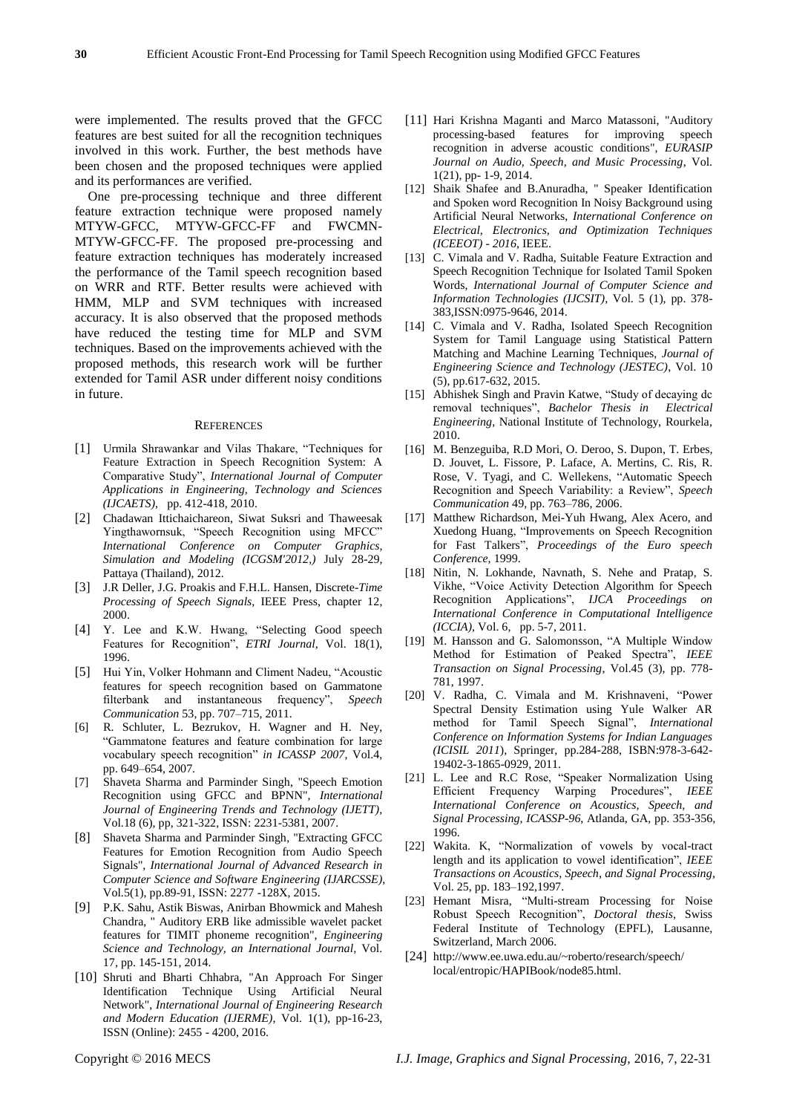were implemented. The results proved that the GFCC features are best suited for all the recognition techniques involved in this work. Further, the best methods have been chosen and the proposed techniques were applied and its performances are verified.

One pre-processing technique and three different feature extraction technique were proposed namely MTYW-GFCC, MTYW-GFCC-FF and FWCMN-MTYW-GFCC-FF. The proposed pre-processing and feature extraction techniques has moderately increased the performance of the Tamil speech recognition based on WRR and RTF. Better results were achieved with HMM, MLP and SVM techniques with increased accuracy. It is also observed that the proposed methods have reduced the testing time for MLP and SVM techniques. Based on the improvements achieved with the proposed methods, this research work will be further extended for Tamil ASR under different noisy conditions in future.

#### **REFERENCES**

- [1] Urmila Shrawankar and Vilas Thakare, "Techniques for Feature Extraction in Speech Recognition System: A Comparative Study", *International Journal of Computer Applications in Engineering, Technology and Sciences (IJCAETS)*, pp. 412-418, 2010.
- [2] Chadawan Ittichaichareon, Siwat Suksri and Thaweesak Yingthawornsuk, "Speech Recognition using MFCC" *International Conference on Computer Graphics, Simulation and Modeling (ICGSM'2012,)* July 28-29, Pattaya (Thailand), 2012.
- [3] J.R Deller, J.G. Proakis and F.H.L. Hansen, Discrete-*Time Processing of Speech Signals*, IEEE Press, chapter 12, 2000.
- [4] Y. Lee and K.W. Hwang, "Selecting Good speech Features for Recognition", *ETRI Journal*, Vol. 18(1), 1996.
- [5] Hui Yin, Volker Hohmann and Climent Nadeu, "Acoustic features for speech recognition based on Gammatone filterbank and instantaneous frequency", Speech *Communication* 53, pp. 707–715, 2011.
- [6] R. Schluter, L. Bezrukov, H. Wagner and H. Ney, ―Gammatone features and feature combination for large vocabulary speech recognition" in ICASSP 2007, Vol.4, pp. 649–654, 2007.
- [7] Shaveta Sharma and Parminder Singh, "Speech Emotion Recognition using GFCC and BPNN", *International Journal of Engineering Trends and Technology (IJETT)*, Vol.18 (6), pp, 321-322, ISSN: 2231-5381, 2007.
- [8] Shaveta Sharma and Parminder Singh, "Extracting GFCC Features for Emotion Recognition from Audio Speech Signals", *International Journal of Advanced Research in Computer Science and Software Engineering (IJARCSSE)*, Vol.5(1), pp.89-91, ISSN: 2277 -128X, 2015.
- [9] P.K. Sahu, Astik Biswas, Anirban Bhowmick and Mahesh Chandra, " Auditory ERB like admissible wavelet packet features for TIMIT phoneme recognition", *Engineering Science and Technology, an International Journal,* Vol. 17, pp. 145-151, 2014.
- [10] Shruti and Bharti Chhabra, "An Approach For Singer Identification Technique Using Artificial Neural Network", *International Journal of Engineering Research and Modern Education (IJERME)*, Vol. 1(1), pp-16-23, ISSN (Online): 2455 - 4200, 2016.
- [11] Hari Krishna Maganti and Marco Matassoni, "Auditory processing-based features for improving speech recognition in adverse acoustic conditions", *EURASIP Journal on Audio, Speech, and Music Processing*, Vol. 1(21), pp- 1-9, 2014.
- [12] Shaik Shafee and B.Anuradha, " Speaker Identification and Spoken word Recognition In Noisy Background using Artificial Neural Networks, *International Conference on Electrical, Electronics, and Optimization Techniques (ICEEOT) - 2016*, IEEE.
- [13] C. Vimala and V. Radha, Suitable Feature Extraction and Speech Recognition Technique for Isolated Tamil Spoken Words, *International Journal of Computer Science and Information Technologies (IJCSIT)*, Vol. 5 (1), pp. 378- 383,ISSN:0975-9646, 2014.
- [14] C. Vimala and V. Radha, Isolated Speech Recognition System for Tamil Language using Statistical Pattern Matching and Machine Learning Techniques, *Journal of Engineering Science and Technology (JESTEC)*, Vol. 10 (5), pp.617-632, 2015.
- [15] Abhishek Singh and Pravin Katwe, "Study of decaying dc removal techniques", *Bachelor Thesis in Electrical Engineering*, National Institute of Technology, Rourkela, 2010.
- [16] M. Benzeguiba, R.D Mori, O. Deroo, S. Dupon, T. Erbes, D. Jouvet, L. Fissore, P. Laface, A. Mertins, C. Ris, R. Rose, V. Tyagi, and C. Wellekens, "Automatic Speech Recognition and Speech Variability: a Review", Speech *Communication* 49, pp. 763–786, 2006.
- [17] Matthew Richardson, Mei-Yuh Hwang, Alex Acero, and Xuedong Huang, "Improvements on Speech Recognition for Fast Talkers", Proceedings of the Euro speech *Conference,* 1999.
- [18] Nitin, N. Lokhande, Navnath, S. Nehe and Pratap, S. Vikhe, "Voice Activity Detection Algorithm for Speech Recognition Applications‖, *IJCA Proceedings on International Conference in Computational Intelligence (ICCIA)*, Vol. 6, pp. 5-7, 2011.
- [19] M. Hansson and G. Salomonsson, "A Multiple Window Method for Estimation of Peaked Spectra", IEEE *Transaction on Signal Processing*, Vol.45 (3), pp. 778- 781, 1997.
- [20] V. Radha, C. Vimala and M. Krishnaveni, "Power Spectral Density Estimation using Yule Walker AR method for Tamil Speech Signal", *International Conference on Information Systems for Indian Languages (ICISIL 2011*), Springer, pp.284-288, ISBN:978-3-642- 19402-3-1865-0929, 2011.
- [21] L. Lee and R.C Rose, "Speaker Normalization Using Efficient Frequency Warping Procedures", *IEEE International Conference on Acoustics, Speech, and Signal Processing, ICASSP-96*, Atlanda, GA, pp. 353-356, 1996.
- [22] Wakita. K, "Normalization of vowels by vocal-tract length and its application to vowel identification", *IEEE Transactions on Acoustics, Speech, and Signal Processing,*  Vol. 25, pp. 183–192,1997.
- [23] Hemant Misra, "Multi-stream Processing for Noise Robust Speech Recognition", *Doctoral thesis*, Swiss Federal Institute of Technology (EPFL), Lausanne, Switzerland, March 2006.
- [24] http://www.ee.uwa.edu.au/~roberto/research/speech/ local/entropic/HAPIBook/node85.html.